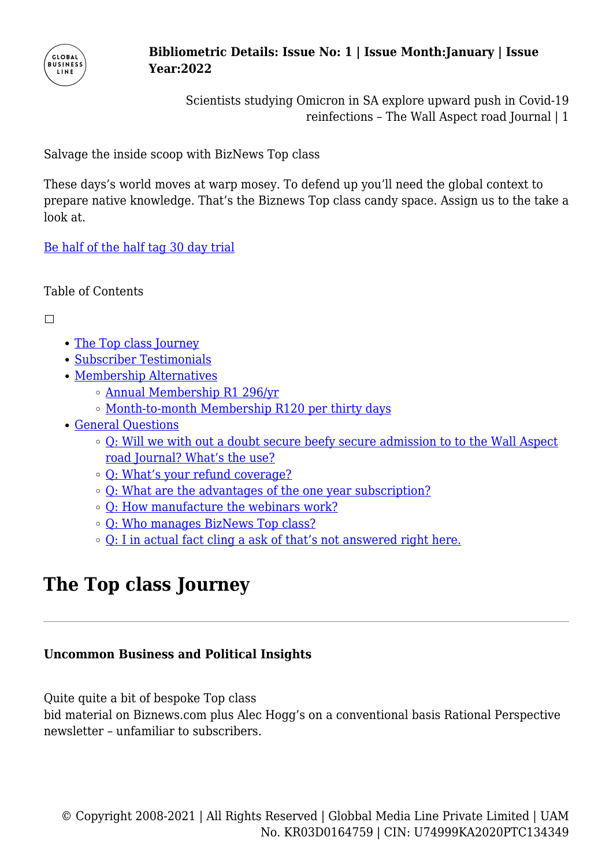

Scientists studying Omicron in SA explore upward push in Covid-19 reinfections – The Wall Aspect road Journal | 1

Salvage the inside scoop with BizNews Top class

These days's world moves at warp mosey. To defend up you'll need the global context to prepare native knowledge. That's the Biznews Top class candy space. Assign us to the take a look at.

[Be half of the half tag 30 day trial](http://www.biznews.com/register/monthly)

Table of Contents

 $\Box$ 

- [The Top class Journey](#page--1-0)
- [Subscriber Testimonials](#page--1-0)
- [Membership Alternatives](#page--1-0)
	- [Annual Membership R1 296/yr](#page--1-0)
	- o [Month-to-month Membership R120 per thirty days](#page--1-0)
- [General Questions](#page--1-0)
	- [Q: Will we with out a doubt secure beefy secure admission to to the Wall Aspect](#page--1-0) [road Journal? What's the use?](#page--1-0)
	- [Q: What's your refund coverage?](#page--1-0)
	- [Q: What are the advantages of the one year subscription?](#page--1-0)
	- [Q: How manufacture the webinars work?](#page--1-0)
	- [Q: Who manages BizNews Top class?](#page--1-0)
	- [Q: I in actual fact cling a ask of that's not answered right here.](#page--1-0)

# **The Top class Journey**

### **Uncommon Business and Political Insights**

Quite quite a bit of bespoke Top class

bid material on Biznews.com plus Alec Hogg's on a conventional basis Rational Perspective newsletter – unfamiliar to subscribers.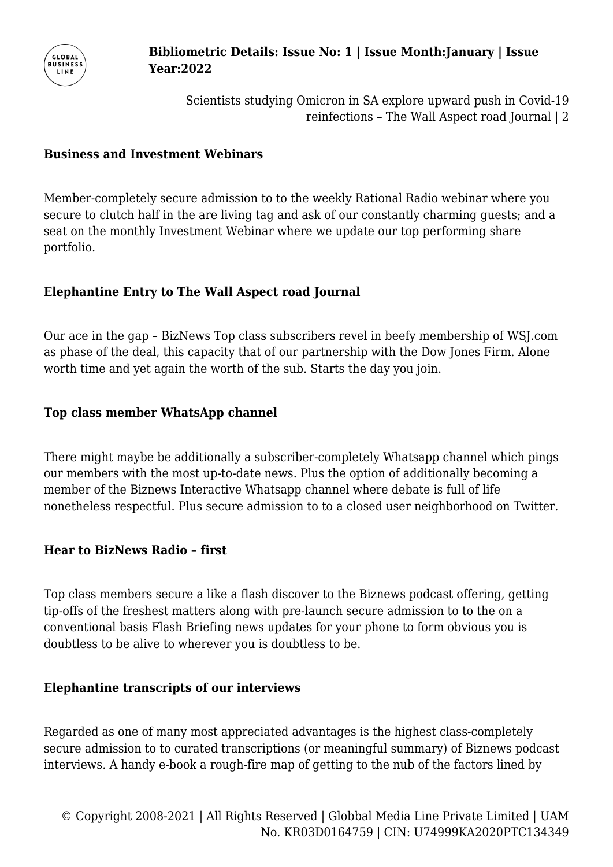

Scientists studying Omicron in SA explore upward push in Covid-19 reinfections – The Wall Aspect road Journal | 2

#### **Business and Investment Webinars**

Member-completely secure admission to to the weekly Rational Radio webinar where you secure to clutch half in the are living tag and ask of our constantly charming guests; and a seat on the monthly Investment Webinar where we update our top performing share portfolio.

### **Elephantine Entry to The Wall Aspect road Journal**

Our ace in the gap – BizNews Top class subscribers revel in beefy membership of WSJ.com as phase of the deal, this capacity that of our partnership with the Dow Jones Firm. Alone worth time and yet again the worth of the sub. Starts the day you join.

### **Top class member WhatsApp channel**

There might maybe be additionally a subscriber-completely Whatsapp channel which pings our members with the most up-to-date news. Plus the option of additionally becoming a member of the Biznews Interactive Whatsapp channel where debate is full of life nonetheless respectful. Plus secure admission to to a closed user neighborhood on Twitter.

### **Hear to BizNews Radio – first**

Top class members secure a like a flash discover to the Biznews podcast offering, getting tip-offs of the freshest matters along with pre-launch secure admission to to the on a conventional basis Flash Briefing news updates for your phone to form obvious you is doubtless to be alive to wherever you is doubtless to be.

### **Elephantine transcripts of our interviews**

Regarded as one of many most appreciated advantages is the highest class-completely secure admission to to curated transcriptions (or meaningful summary) of Biznews podcast interviews. A handy e-book a rough-fire map of getting to the nub of the factors lined by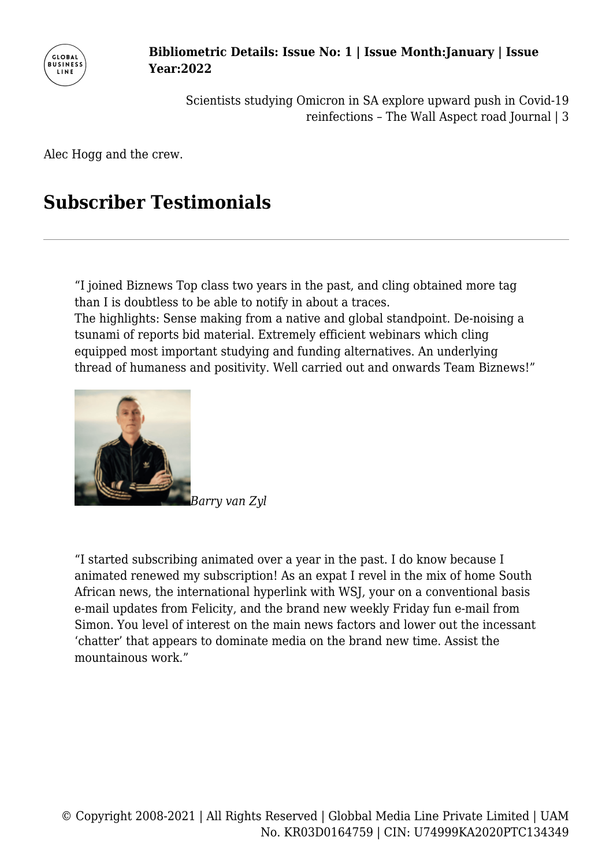

> Scientists studying Omicron in SA explore upward push in Covid-19 reinfections – The Wall Aspect road Journal | 3

Alec Hogg and the crew.

# **Subscriber Testimonials**

"I joined Biznews Top class two years in the past, and cling obtained more tag than I is doubtless to be able to notify in about a traces.

The highlights: Sense making from a native and global standpoint. De-noising a tsunami of reports bid material. Extremely efficient webinars which cling equipped most important studying and funding alternatives. An underlying thread of humaness and positivity. Well carried out and onwards Team Biznews!"



"I started subscribing animated over a year in the past. I do know because I animated renewed my subscription! As an expat I revel in the mix of home South African news, the international hyperlink with WSJ, your on a conventional basis e-mail updates from Felicity, and the brand new weekly Friday fun e-mail from Simon. You level of interest on the main news factors and lower out the incessant 'chatter' that appears to dominate media on the brand new time. Assist the mountainous work."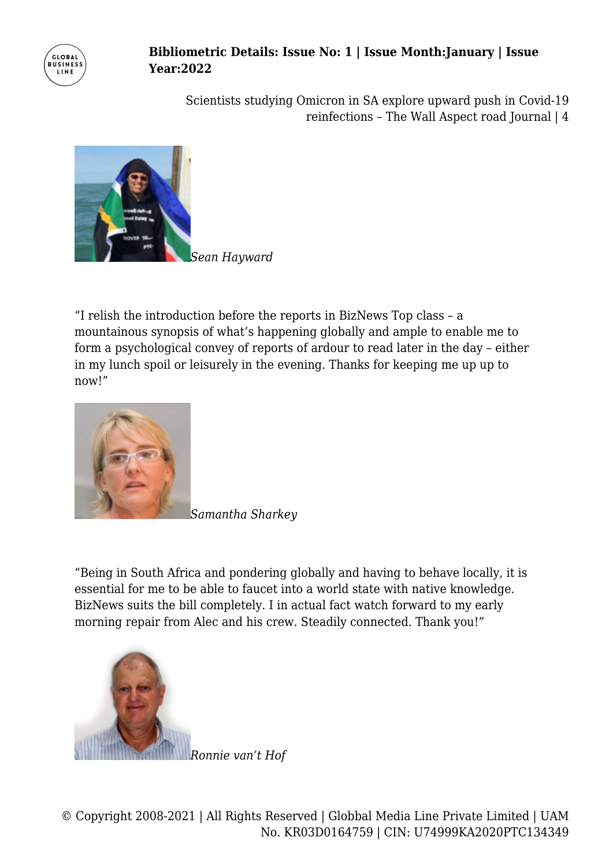

Scientists studying Omicron in SA explore upward push in Covid-19 reinfections – The Wall Aspect road Journal | 4



"I relish the introduction before the reports in BizNews Top class – a mountainous synopsis of what's happening globally and ample to enable me to form a psychological convey of reports of ardour to read later in the day – either in my lunch spoil or leisurely in the evening. Thanks for keeping me up up to now!"



*Samantha Sharkey*

"Being in South Africa and pondering globally and having to behave locally, it is essential for me to be able to faucet into a world state with native knowledge. BizNews suits the bill completely. I in actual fact watch forward to my early morning repair from Alec and his crew. Steadily connected. Thank you!"

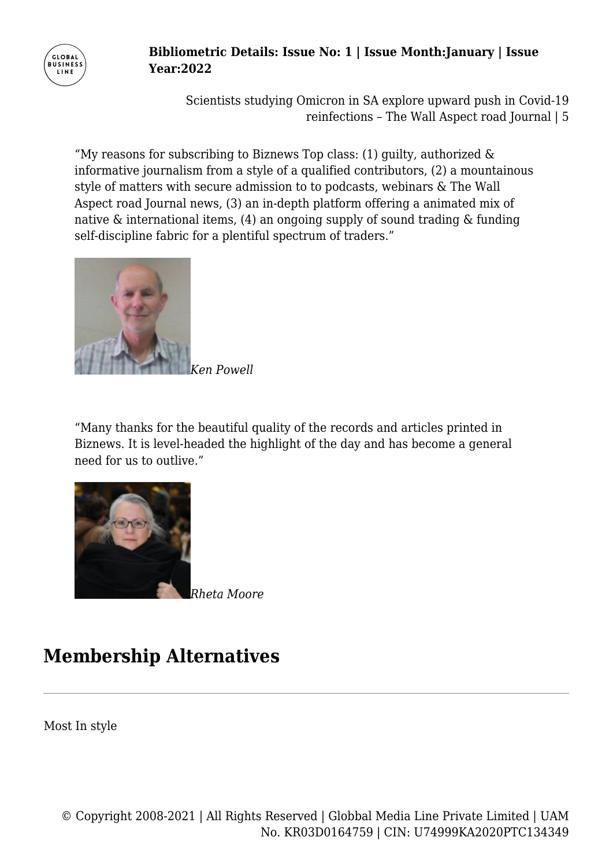

Scientists studying Omicron in SA explore upward push in Covid-19 reinfections – The Wall Aspect road Journal | 5

"My reasons for subscribing to Biznews Top class:  $(1)$  guilty, authorized  $\&$ informative journalism from a style of a qualified contributors, (2) a mountainous style of matters with secure admission to to podcasts, webinars & The Wall Aspect road Journal news, (3) an in-depth platform offering a animated mix of native & international items, (4) an ongoing supply of sound trading & funding self-discipline fabric for a plentiful spectrum of traders."



*Ken Powell*

"Many thanks for the beautiful quality of the records and articles printed in Biznews. It is level-headed the highlight of the day and has become a general need for us to outlive."



*Rheta Moore*

# **Membership Alternatives**

Most In style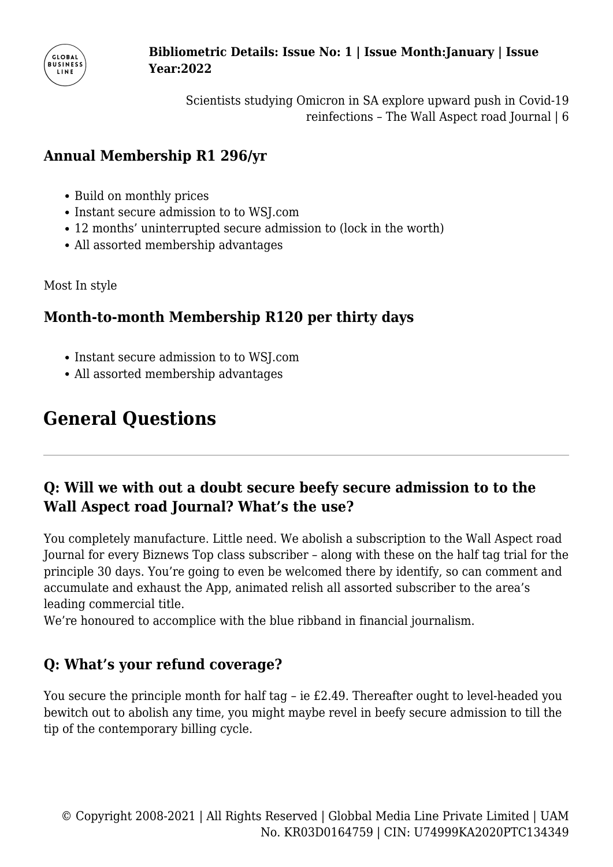

Scientists studying Omicron in SA explore upward push in Covid-19 reinfections – The Wall Aspect road Journal | 6

## **Annual Membership R1 296/yr**

- Build on monthly prices
- Instant secure admission to to WSI.com
- 12 months' uninterrupted secure admission to (lock in the worth)
- All assorted membership advantages

Most In style

## **Month-to-month Membership R120 per thirty days**

- Instant secure admission to to WSJ.com
- All assorted membership advantages

# **General Questions**

## **Q: Will we with out a doubt secure beefy secure admission to to the Wall Aspect road Journal? What's the use?**

You completely manufacture. Little need. We abolish a subscription to the Wall Aspect road Journal for every Biznews Top class subscriber – along with these on the half tag trial for the principle 30 days. You're going to even be welcomed there by identify, so can comment and accumulate and exhaust the App, animated relish all assorted subscriber to the area's leading commercial title.

We're honoured to accomplice with the blue ribband in financial journalism.

# **Q: What's your refund coverage?**

You secure the principle month for half tag – ie £2.49. Thereafter ought to level-headed you bewitch out to abolish any time, you might maybe revel in beefy secure admission to till the tip of the contemporary billing cycle.